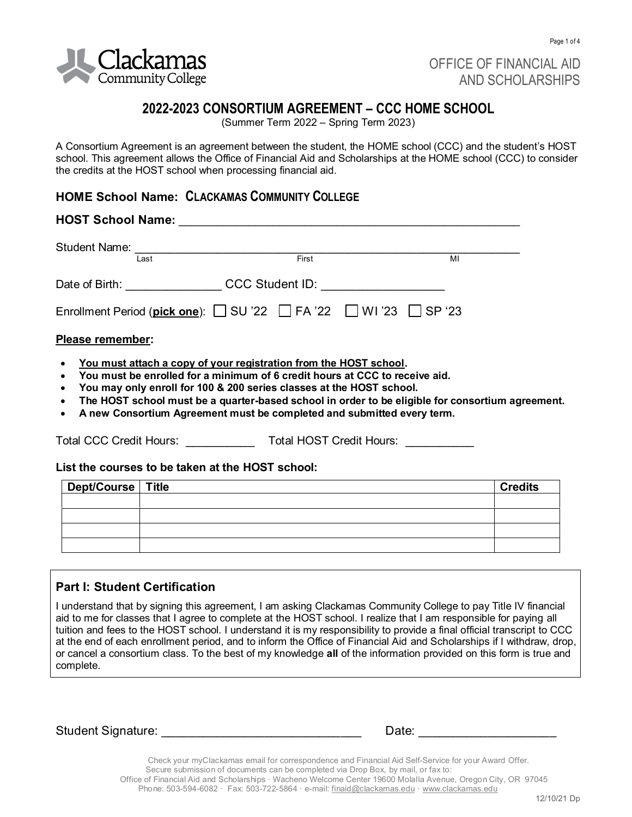

OFFICE OF FINANCIAL AID AND SCHOLARSHIPS

# **2022-2023 CONSORTIUM AGREEMENT – CCC HOME SCHOOL**

(Summer Term 2022 – Spring Term 2023)

A Consortium Agreement is an agreement between the student, the HOME school (CCC) and the student's HOST school. This agreement allows the Office of Financial Aid and Scholarships at the HOME school (CCC) to consider the credits at the HOST school when processing financial aid.

# **HOME School Name: CLACKAMAS COMMUNITY COLLEGE**

# **HOST School Name:** \_\_\_\_\_\_\_\_\_\_\_\_\_\_\_\_\_\_\_\_\_\_\_\_\_\_\_\_\_\_\_\_\_\_\_\_\_\_\_\_\_\_\_\_\_\_\_\_\_\_\_\_\_\_ Student Name: \_\_\_\_\_\_\_\_\_\_\_\_\_\_\_\_\_\_\_\_\_\_\_\_\_\_\_\_\_\_\_\_\_\_\_\_\_\_\_\_\_\_\_\_\_\_\_\_\_\_\_\_\_\_\_\_ **Last** MI **E**irst **First** MI Date of Birth: \_\_\_\_\_\_\_\_\_\_\_\_\_\_\_\_\_\_ CCC Student ID: \_\_\_\_\_\_\_\_\_\_\_\_\_\_\_\_\_\_\_\_\_\_\_\_ Enrollment Period (**pick one**): SU '22 FA '22 WI '23 SP '23 **Please remember:** • **You must attach a copy of your registration from the HOST school.** • **You must be enrolled for a minimum of 6 credit hours at CCC to receive aid.**

- 
- **You may only enroll for 100 & 200 series classes at the HOST school.**
- **The HOST school must be a quarter-based school in order to be eligible for consortium agreement.**
- **A new Consortium Agreement must be completed and submitted every term.**

Total CCC Credit Hours: \_\_\_\_\_\_\_\_\_\_ Total HOST Credit Hours: \_\_\_\_\_\_\_\_\_\_

#### **List the courses to be taken at the HOST school:**

| Dept/Course Title | <b>Credits</b> |
|-------------------|----------------|
|                   |                |
|                   |                |
|                   |                |
|                   |                |

# **Part I: Student Certification**

I understand that by signing this agreement, I am asking Clackamas Community College to pay Title IV financial aid to me for classes that I agree to complete at the HOST school. I realize that I am responsible for paying all tuition and fees to the HOST school. I understand it is my responsibility to provide a final official transcript to CCC at the end of each enrollment period, and to inform the Office of Financial Aid and Scholarships if I withdraw, drop, or cancel a consortium class. To the best of my knowledge **all** of the information provided on this form is true and complete.

Student Signature:

Check your myClackamas email for correspondence and Financial Aid Self-Service for your Award Offer. Secure submission of documents can be completed via Drop Box, by mail, or fax to: Office of Financial Aid and Scholarships · Wacheno Welcome Center 19600 Molalla Avenue, Oregon City, OR 97045 Phone: 503-594-6082 · Fax: 503-722-5864 · e-mail[: finaid@clackamas.edu ·](mailto:finaid@clackamas.edu) [www.clackamas.edu](http://www.clackamas.edu/)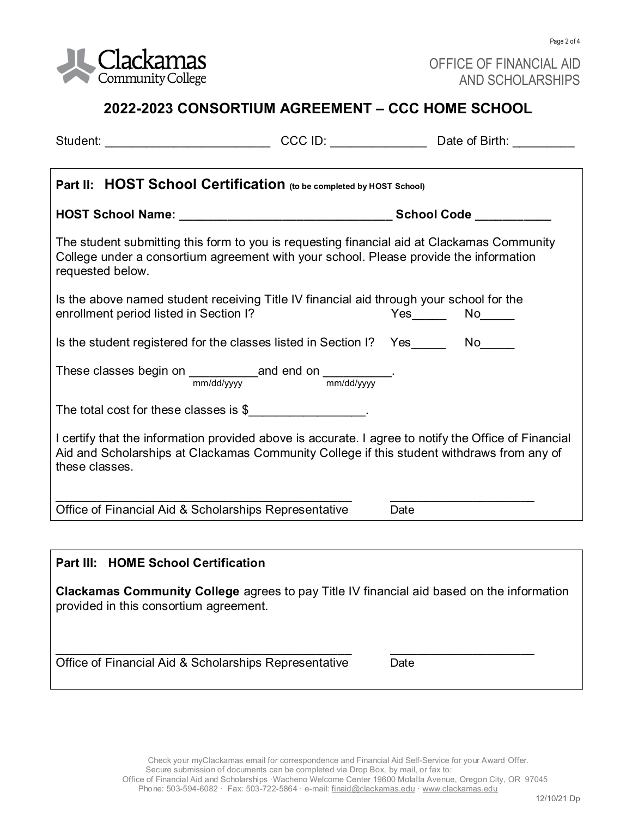

Page 2 of 4

# **2022-2023 CONSORTIUM AGREEMENT – CCC HOME SCHOOL**

| Student: __________________________________CCC ID: ___________________________Date of Birth: ____________                                                                                                           |  |      |  |  |  |  |  |
|---------------------------------------------------------------------------------------------------------------------------------------------------------------------------------------------------------------------|--|------|--|--|--|--|--|
|                                                                                                                                                                                                                     |  |      |  |  |  |  |  |
| Part II: HOST School Certification (to be completed by HOST School)                                                                                                                                                 |  |      |  |  |  |  |  |
|                                                                                                                                                                                                                     |  |      |  |  |  |  |  |
| The student submitting this form to you is requesting financial aid at Clackamas Community<br>College under a consortium agreement with your school. Please provide the information<br>requested below.             |  |      |  |  |  |  |  |
| Is the above named student receiving Title IV financial aid through your school for the<br>enrollment period listed in Section I?                                                                                   |  |      |  |  |  |  |  |
| Is the student registered for the classes listed in Section I?  Yes _______ No_____                                                                                                                                 |  |      |  |  |  |  |  |
| These classes begin on $\frac{1}{\text{mm}/\text{dd}/\text{yyy}}$ and end on $\frac{1}{\text{mm}/\text{dd}/\text{yyy}}$ .                                                                                           |  |      |  |  |  |  |  |
| The total cost for these classes is \$                                                                                                                                                                              |  |      |  |  |  |  |  |
| I certify that the information provided above is accurate. I agree to notify the Office of Financial<br>Aid and Scholarships at Clackamas Community College if this student withdraws from any of<br>these classes. |  |      |  |  |  |  |  |
| Office of Financial Aid & Scholarships Representative                                                                                                                                                               |  | Date |  |  |  |  |  |
|                                                                                                                                                                                                                     |  |      |  |  |  |  |  |
| <b>Part III: HOME School Certification</b>                                                                                                                                                                          |  |      |  |  |  |  |  |
| Clackamas Community College agrees to pay Title IV financial aid based on the information                                                                                                                           |  |      |  |  |  |  |  |

provided in this consortium agreement.

Office of Financial Aid & Scholarships Representative Date

\_\_\_\_\_\_\_\_\_\_\_\_\_\_\_\_\_\_\_\_\_\_\_\_\_\_\_\_\_\_\_\_\_\_\_\_\_\_\_\_\_\_\_ \_\_\_\_\_\_\_\_\_\_\_\_\_\_\_\_\_\_\_\_\_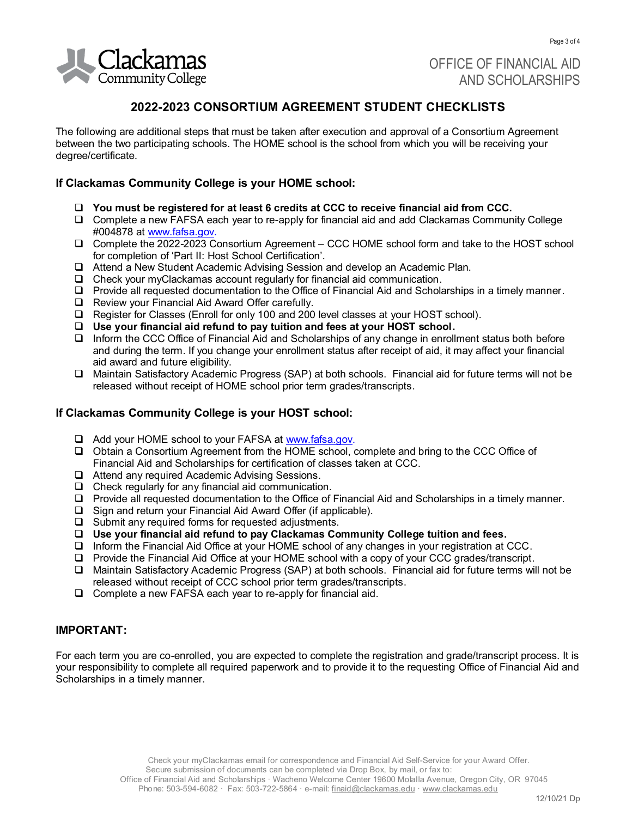

OFFICE OF FINANCIAL AID AND SCHOLARSHIPS

## **2022-2023 CONSORTIUM AGREEMENT STUDENT CHECKLISTS**

The following are additional steps that must be taken after execution and approval of a Consortium Agreement between the two participating schools. The HOME school is the school from which you will be receiving your degree/certificate.

#### **If Clackamas Community College is your HOME school:**

- ❑ **You must be registered for at least 6 credits at CCC to receive financial aid from CCC.**
- ❑ Complete a new FAFSA each year to re-apply for financial aid and add Clackamas Community College #004878 at [www.fafsa.gov.](http://www.fafsa.gov/)
- ❑ Complete the 2022-2023 Consortium Agreement CCC HOME school form and take to the HOST school for completion of 'Part II: Host School Certification'.
- ❑ Attend a New Student Academic Advising Session and develop an Academic Plan.
- ❑ Check your myClackamas account regularly for financial aid communication.
- ❑ Provide all requested documentation to the Office of Financial Aid and Scholarships in a timely manner.
- ❑ Review your Financial Aid Award Offer carefully.
- ❑ Register for Classes (Enroll for only 100 and 200 level classes at your HOST school).
- ❑ **Use your financial aid refund to pay tuition and fees at your HOST school.**
- ❑ Inform the CCC Office of Financial Aid and Scholarships of any change in enrollment status both before and during the term. If you change your enrollment status after receipt of aid, it may affect your financial aid award and future eligibility.
- ❑ Maintain Satisfactory Academic Progress (SAP) at both schools. Financial aid for future terms will not be released without receipt of HOME school prior term grades/transcripts.

#### **If Clackamas Community College is your HOST school:**

- ❑ Add your HOME school to your FAFSA a[t www.fafsa.gov.](http://www.fafsa.gov/)
- ❑ Obtain a Consortium Agreement from the HOME school, complete and bring to the CCC Office of Financial Aid and Scholarships for certification of classes taken at CCC.
- ❑ Attend any required Academic Advising Sessions.
- ❑ Check regularly for any financial aid communication.
- ❑ Provide all requested documentation to the Office of Financial Aid and Scholarships in a timely manner.
- ❑ Sign and return your Financial Aid Award Offer (if applicable).
- ❑ Submit any required forms for requested adjustments.
- ❑ **Use your financial aid refund to pay Clackamas Community College tuition and fees.**
- ❑ Inform the Financial Aid Office at your HOME school of any changes in your registration at CCC.
- ❑ Provide the Financial Aid Office at your HOME school with a copy of your CCC grades/transcript.
- ❑ Maintain Satisfactory Academic Progress (SAP) at both schools. Financial aid for future terms will not be released without receipt of CCC school prior term grades/transcripts.
- ❑ Complete a new FAFSA each year to re-apply for financial aid.

### **IMPORTANT:**

For each term you are co-enrolled, you are expected to complete the registration and grade/transcript process. It is your responsibility to complete all required paperwork and to provide it to the requesting Office of Financial Aid and Scholarships in a timely manner.